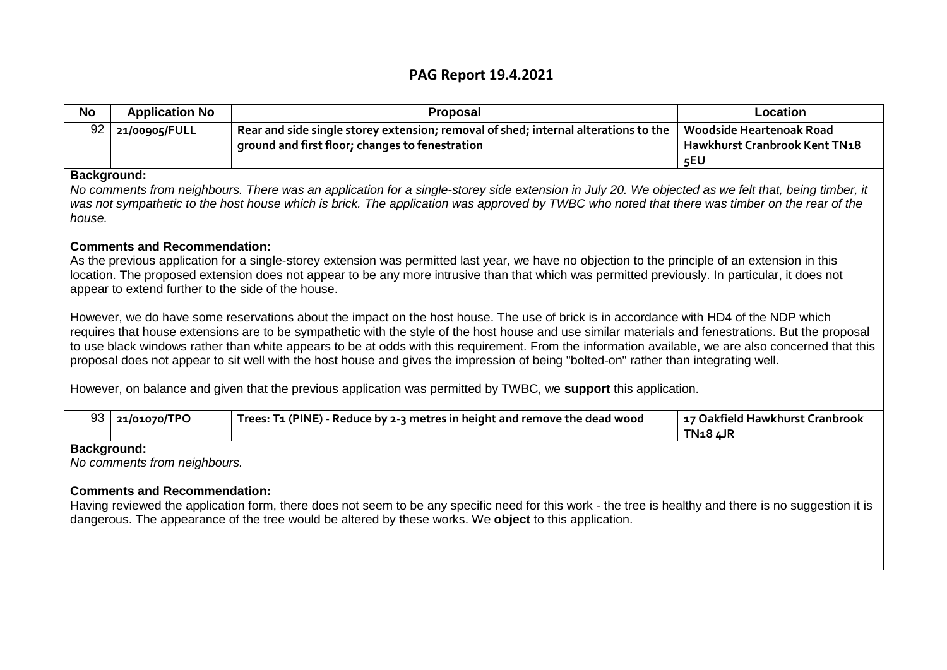## **PAG Report 19.4.2021**

| <b>No</b>                                                                                                                                                                                                                                                                                                                                                                                                                                                                                                                                                                                                                                                                                                                                                                                                                                                                                                                                                                                                                                                                                                         | <b>Application No</b> | Proposal                                                                                                                               | Location                                                                |  |  |
|-------------------------------------------------------------------------------------------------------------------------------------------------------------------------------------------------------------------------------------------------------------------------------------------------------------------------------------------------------------------------------------------------------------------------------------------------------------------------------------------------------------------------------------------------------------------------------------------------------------------------------------------------------------------------------------------------------------------------------------------------------------------------------------------------------------------------------------------------------------------------------------------------------------------------------------------------------------------------------------------------------------------------------------------------------------------------------------------------------------------|-----------------------|----------------------------------------------------------------------------------------------------------------------------------------|-------------------------------------------------------------------------|--|--|
| 92                                                                                                                                                                                                                                                                                                                                                                                                                                                                                                                                                                                                                                                                                                                                                                                                                                                                                                                                                                                                                                                                                                                | 21/00905/FULL         | Rear and side single storey extension; removal of shed; internal alterations to the<br>ground and first floor; changes to fenestration | <b>Woodside Heartenoak Road</b><br>Hawkhurst Cranbrook Kent TN18<br>5EU |  |  |
| Background:<br>No comments from neighbours. There was an application for a single-storey side extension in July 20. We objected as we felt that, being timber, it<br>was not sympathetic to the host house which is brick. The application was approved by TWBC who noted that there was timber on the rear of the<br>house.                                                                                                                                                                                                                                                                                                                                                                                                                                                                                                                                                                                                                                                                                                                                                                                      |                       |                                                                                                                                        |                                                                         |  |  |
| <b>Comments and Recommendation:</b><br>As the previous application for a single-storey extension was permitted last year, we have no objection to the principle of an extension in this<br>location. The proposed extension does not appear to be any more intrusive than that which was permitted previously. In particular, it does not<br>appear to extend further to the side of the house.<br>However, we do have some reservations about the impact on the host house. The use of brick is in accordance with HD4 of the NDP which<br>requires that house extensions are to be sympathetic with the style of the host house and use similar materials and fenestrations. But the proposal<br>to use black windows rather than white appears to be at odds with this requirement. From the information available, we are also concerned that this<br>proposal does not appear to sit well with the host house and gives the impression of being "bolted-on" rather than integrating well.<br>However, on balance and given that the previous application was permitted by TWBC, we support this application. |                       |                                                                                                                                        |                                                                         |  |  |
| 93                                                                                                                                                                                                                                                                                                                                                                                                                                                                                                                                                                                                                                                                                                                                                                                                                                                                                                                                                                                                                                                                                                                | 21/01070/TPO          | Trees: T1 (PINE) - Reduce by 2-3 metres in height and remove the dead wood                                                             | 17 Oakfield Hawkhurst Cranbrook<br><b>TN184JR</b>                       |  |  |
| Background:<br>No comments from neighbours.<br><b>Comments and Recommendation:</b><br>Having reviewed the application form, there does not seem to be any specific need for this work - the tree is healthy and there is no suggestion it is<br>dangerous. The appearance of the tree would be altered by these works. We <b>object</b> to this application.                                                                                                                                                                                                                                                                                                                                                                                                                                                                                                                                                                                                                                                                                                                                                      |                       |                                                                                                                                        |                                                                         |  |  |